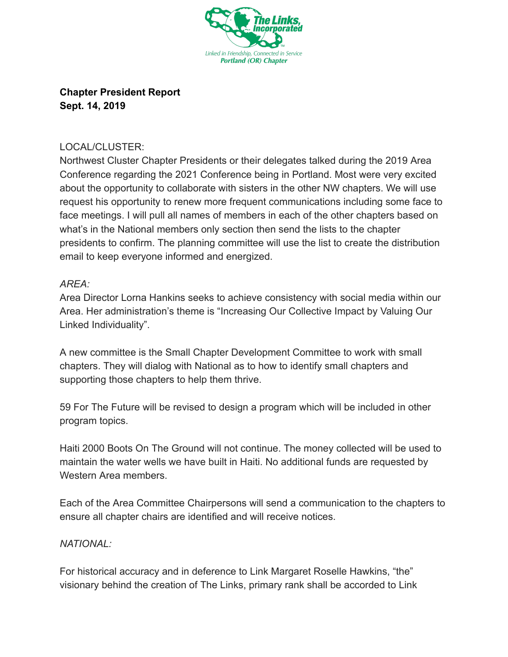

## **Chapter President Report Sept. 14, 2019**

## LOCAL/CLUSTER:

Northwest Cluster Chapter Presidents or their delegates talked during the 2019 Area Conference regarding the 2021 Conference being in Portland. Most were very excited about the opportunity to collaborate with sisters in the other NW chapters. We will use request his opportunity to renew more frequent communications including some face to face meetings. I will pull all names of members in each of the other chapters based on what's in the National members only section then send the lists to the chapter presidents to confirm. The planning committee will use the list to create the distribution email to keep everyone informed and energized.

## *AREA:*

Area Director Lorna Hankins seeks to achieve consistency with social media within our Area. Her administration's theme is "Increasing Our Collective Impact by Valuing Our Linked Individuality".

A new committee is the Small Chapter Development Committee to work with small chapters. They will dialog with National as to how to identify small chapters and supporting those chapters to help them thrive.

59 For The Future will be revised to design a program which will be included in other program topics.

Haiti 2000 Boots On The Ground will not continue. The money collected will be used to maintain the water wells we have built in Haiti. No additional funds are requested by Western Area members.

Each of the Area Committee Chairpersons will send a communication to the chapters to ensure all chapter chairs are identified and will receive notices.

## *NATIONAL:*

For historical accuracy and in deference to Link Margaret Roselle Hawkins, "the" visionary behind the creation of The Links, primary rank shall be accorded to Link